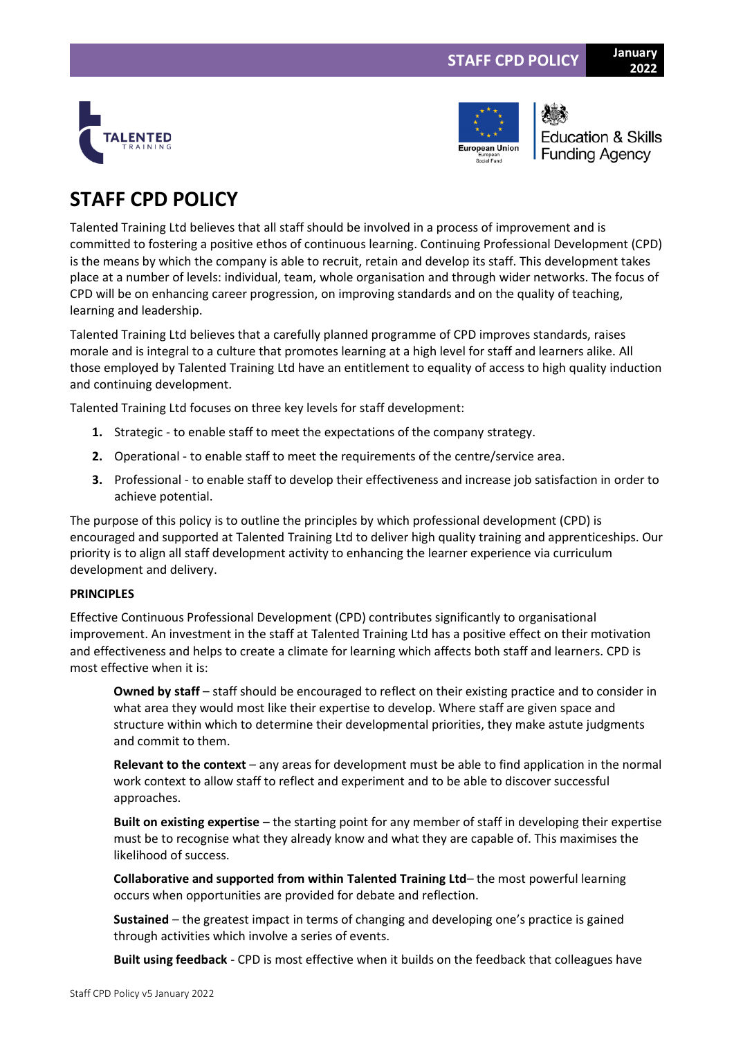



**Education & Skills Funding Agency** 

**2022**

# **STAFF CPD POLICY**

Talented Training Ltd believes that all staff should be involved in a process of improvement and is committed to fostering a positive ethos of continuous learning. Continuing Professional Development (CPD) is the means by which the company is able to recruit, retain and develop its staff. This development takes place at a number of levels: individual, team, whole organisation and through wider networks. The focus of CPD will be on enhancing career progression, on improving standards and on the quality of teaching, learning and leadership.

Talented Training Ltd believes that a carefully planned programme of CPD improves standards, raises morale and is integral to a culture that promotes learning at a high level for staff and learners alike. All those employed by Talented Training Ltd have an entitlement to equality of access to high quality induction and continuing development.

Talented Training Ltd focuses on three key levels for staff development:

- **1.** Strategic to enable staff to meet the expectations of the company strategy.
- **2.** Operational to enable staff to meet the requirements of the centre/service area.
- **3.** Professional to enable staff to develop their effectiveness and increase job satisfaction in order to achieve potential.

The purpose of this policy is to outline the principles by which professional development (CPD) is encouraged and supported at Talented Training Ltd to deliver high quality training and apprenticeships. Our priority is to align all staff development activity to enhancing the learner experience via curriculum development and delivery.

# **PRINCIPLES**

Effective Continuous Professional Development (CPD) contributes significantly to organisational improvement. An investment in the staff at Talented Training Ltd has a positive effect on their motivation and effectiveness and helps to create a climate for learning which affects both staff and learners. CPD is most effective when it is:

**Owned by staff** – staff should be encouraged to reflect on their existing practice and to consider in what area they would most like their expertise to develop. Where staff are given space and structure within which to determine their developmental priorities, they make astute judgments and commit to them.

**Relevant to the context** – any areas for development must be able to find application in the normal work context to allow staff to reflect and experiment and to be able to discover successful approaches.

**Built on existing expertise** – the starting point for any member of staff in developing their expertise must be to recognise what they already know and what they are capable of. This maximises the likelihood of success.

**Collaborative and supported from within Talented Training Ltd**– the most powerful learning occurs when opportunities are provided for debate and reflection.

**Sustained** – the greatest impact in terms of changing and developing one's practice is gained through activities which involve a series of events.

**Built using feedback** - CPD is most effective when it builds on the feedback that colleagues have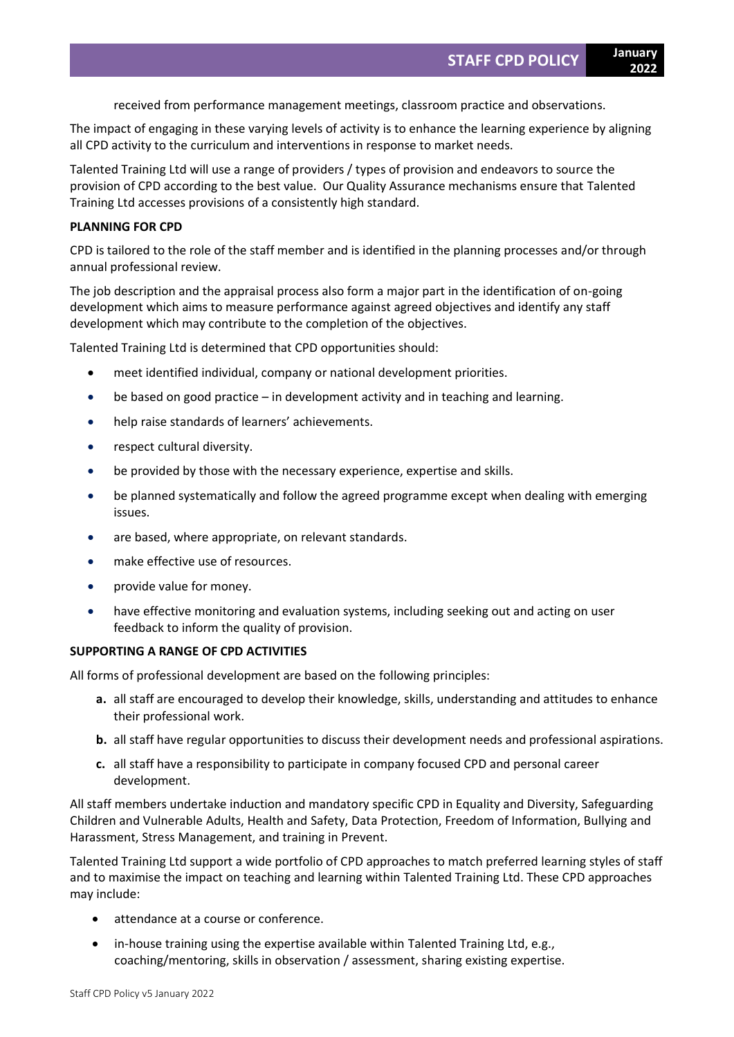received from performance management meetings, classroom practice and observations.

The impact of engaging in these varying levels of activity is to enhance the learning experience by aligning all CPD activity to the curriculum and interventions in response to market needs.

Talented Training Ltd will use a range of providers / types of provision and endeavors to source the provision of CPD according to the best value. Our Quality Assurance mechanisms ensure that Talented Training Ltd accesses provisions of a consistently high standard.

# **PLANNING FOR CPD**

CPD is tailored to the role of the staff member and is identified in the planning processes and/or through annual professional review.

The job description and the appraisal process also form a major part in the identification of on-going development which aims to measure performance against agreed objectives and identify any staff development which may contribute to the completion of the objectives.

Talented Training Ltd is determined that CPD opportunities should:

- meet identified individual, company or national development priorities.
- be based on good practice in development activity and in teaching and learning.
- help raise standards of learners' achievements.
- respect cultural diversity.
- be provided by those with the necessary experience, expertise and skills.
- be planned systematically and follow the agreed programme except when dealing with emerging issues.
- are based, where appropriate, on relevant standards.
- make effective use of resources.
- provide value for money.
- have effective monitoring and evaluation systems, including seeking out and acting on user feedback to inform the quality of provision.

### **SUPPORTING A RANGE OF CPD ACTIVITIES**

All forms of professional development are based on the following principles:

- **a.** all staff are encouraged to develop their knowledge, skills, understanding and attitudes to enhance their professional work.
- **b.** all staff have regular opportunities to discuss their development needs and professional aspirations.
- **c.** all staff have a responsibility to participate in company focused CPD and personal career development.

All staff members undertake induction and mandatory specific CPD in Equality and Diversity, Safeguarding Children and Vulnerable Adults, Health and Safety, Data Protection, Freedom of Information, Bullying and Harassment, Stress Management, and training in Prevent.

Talented Training Ltd support a wide portfolio of CPD approaches to match preferred learning styles of staff and to maximise the impact on teaching and learning within Talented Training Ltd. These CPD approaches may include:

- attendance at a course or conference.
- in-house training using the expertise available within Talented Training Ltd, e.g., coaching/mentoring, skills in observation / assessment, sharing existing expertise.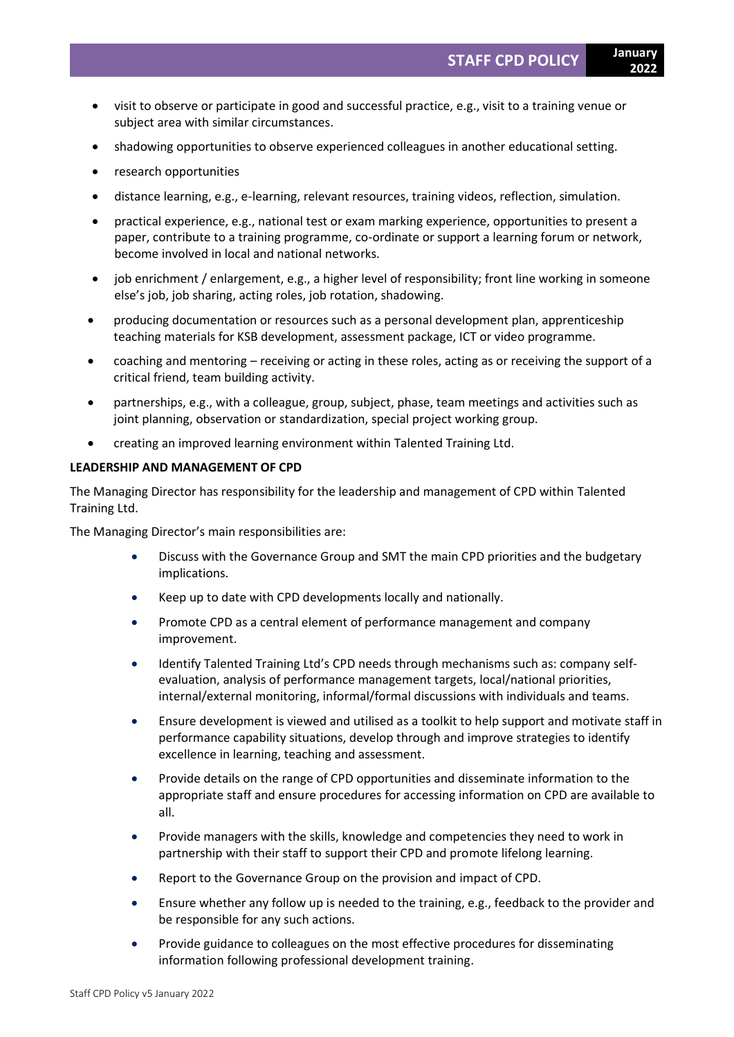- visit to observe or participate in good and successful practice, e.g., visit to a training venue or subject area with similar circumstances.
- shadowing opportunities to observe experienced colleagues in another educational setting.
- research opportunities
- distance learning, e.g., e-learning, relevant resources, training videos, reflection, simulation.
- practical experience, e.g., national test or exam marking experience, opportunities to present a paper, contribute to a training programme, co-ordinate or support a learning forum or network, become involved in local and national networks.
- job enrichment / enlargement, e.g., a higher level of responsibility; front line working in someone else's job, job sharing, acting roles, job rotation, shadowing.
- producing documentation or resources such as a personal development plan, apprenticeship teaching materials for KSB development, assessment package, ICT or video programme.
- coaching and mentoring receiving or acting in these roles, acting as or receiving the support of a critical friend, team building activity.
- partnerships, e.g., with a colleague, group, subject, phase, team meetings and activities such as joint planning, observation or standardization, special project working group.
- creating an improved learning environment within Talented Training Ltd.

### **LEADERSHIP AND MANAGEMENT OF CPD**

The Managing Director has responsibility for the leadership and management of CPD within Talented Training Ltd.

The Managing Director's main responsibilities are:

- Discuss with the Governance Group and SMT the main CPD priorities and the budgetary implications.
- Keep up to date with CPD developments locally and nationally.
- Promote CPD as a central element of performance management and company improvement.
- Identify Talented Training Ltd's CPD needs through mechanisms such as: company selfevaluation, analysis of performance management targets, local/national priorities, internal/external monitoring, informal/formal discussions with individuals and teams.
- Ensure development is viewed and utilised as a toolkit to help support and motivate staff in performance capability situations, develop through and improve strategies to identify excellence in learning, teaching and assessment.
- Provide details on the range of CPD opportunities and disseminate information to the appropriate staff and ensure procedures for accessing information on CPD are available to all.
- Provide managers with the skills, knowledge and competencies they need to work in partnership with their staff to support their CPD and promote lifelong learning.
- Report to the Governance Group on the provision and impact of CPD.
- Ensure whether any follow up is needed to the training, e.g., feedback to the provider and be responsible for any such actions.
- Provide guidance to colleagues on the most effective procedures for disseminating information following professional development training.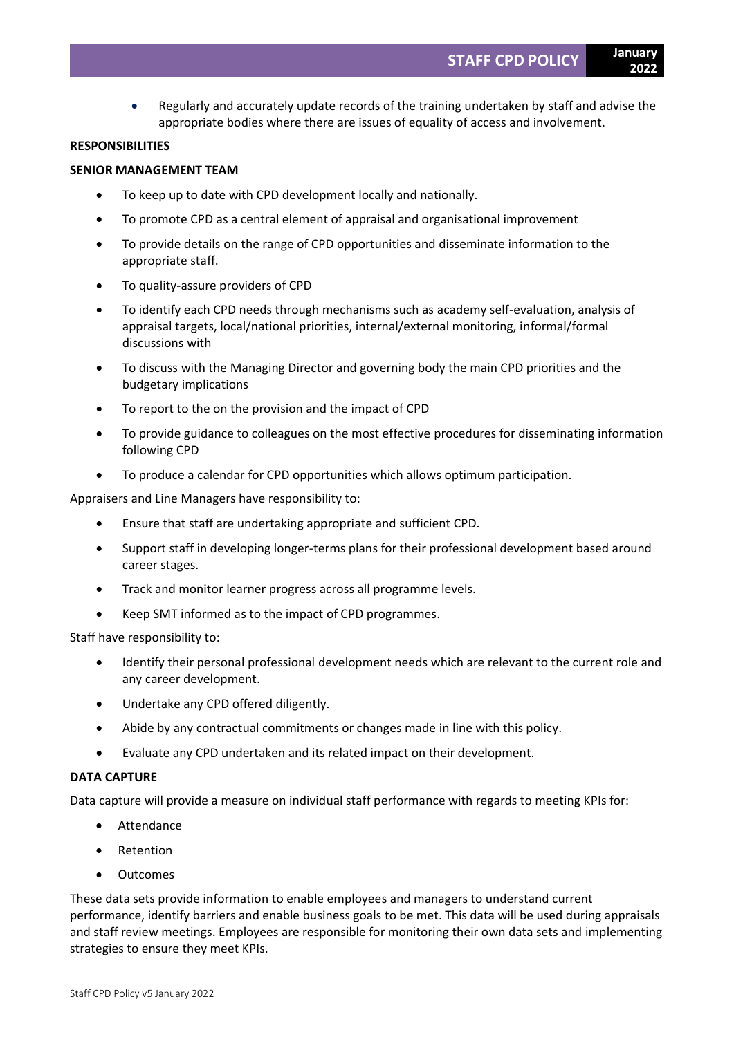• Regularly and accurately update records of the training undertaken by staff and advise the appropriate bodies where there are issues of equality of access and involvement.

### **RESPONSIBILITIES**

### **SENIOR MANAGEMENT TEAM**

- To keep up to date with CPD development locally and nationally.
- To promote CPD as a central element of appraisal and organisational improvement
- To provide details on the range of CPD opportunities and disseminate information to the appropriate staff.
- To quality-assure providers of CPD
- To identify each CPD needs through mechanisms such as academy self-evaluation, analysis of appraisal targets, local/national priorities, internal/external monitoring, informal/formal discussions with
- To discuss with the Managing Director and governing body the main CPD priorities and the budgetary implications
- To report to the on the provision and the impact of CPD
- To provide guidance to colleagues on the most effective procedures for disseminating information following CPD
- To produce a calendar for CPD opportunities which allows optimum participation.

Appraisers and Line Managers have responsibility to:

- Ensure that staff are undertaking appropriate and sufficient CPD.
- Support staff in developing longer-terms plans for their professional development based around career stages.
- Track and monitor learner progress across all programme levels.
- Keep SMT informed as to the impact of CPD programmes.

Staff have responsibility to:

- Identify their personal professional development needs which are relevant to the current role and any career development.
- Undertake any CPD offered diligently.
- Abide by any contractual commitments or changes made in line with this policy.
- Evaluate any CPD undertaken and its related impact on their development.

### **DATA CAPTURE**

Data capture will provide a measure on individual staff performance with regards to meeting KPIs for:

- **Attendance**
- **Retention**
- **Outcomes**

These data sets provide information to enable employees and managers to understand current performance, identify barriers and enable business goals to be met. This data will be used during appraisals and staff review meetings. Employees are responsible for monitoring their own data sets and implementing strategies to ensure they meet KPIs.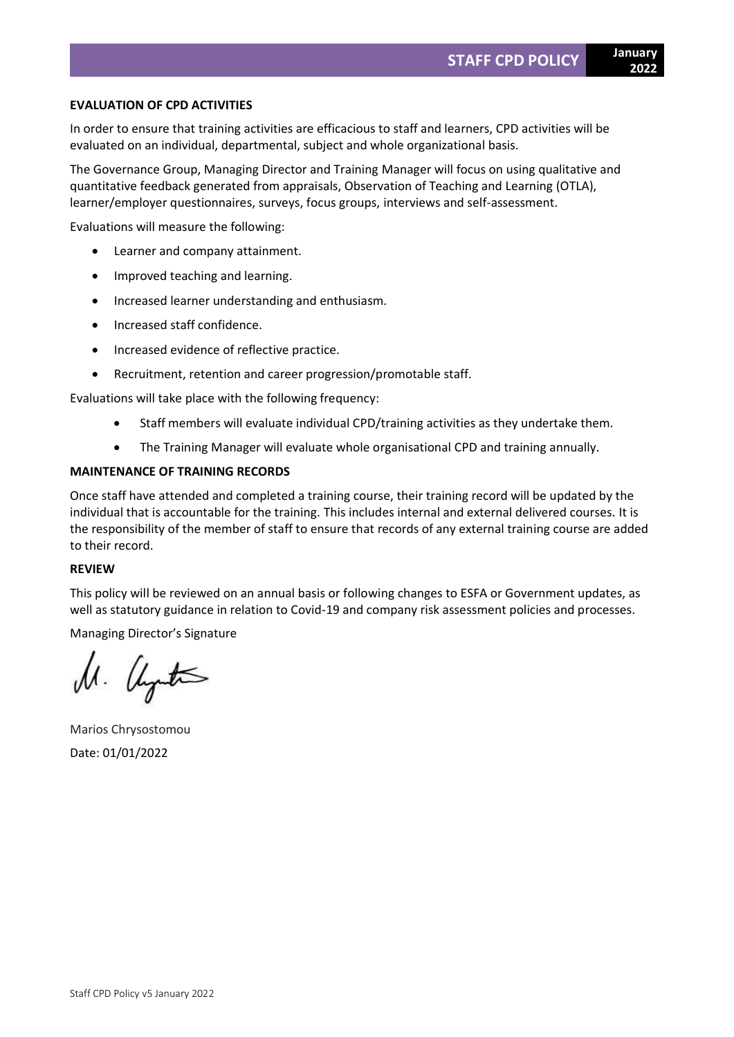### **EVALUATION OF CPD ACTIVITIES**

In order to ensure that training activities are efficacious to staff and learners, CPD activities will be evaluated on an individual, departmental, subject and whole organizational basis.

The Governance Group, Managing Director and Training Manager will focus on using qualitative and quantitative feedback generated from appraisals, Observation of Teaching and Learning (OTLA), learner/employer questionnaires, surveys, focus groups, interviews and self-assessment.

Evaluations will measure the following:

- Learner and company attainment.
- Improved teaching and learning.
- Increased learner understanding and enthusiasm.
- Increased staff confidence.
- Increased evidence of reflective practice.
- Recruitment, retention and career progression/promotable staff.

Evaluations will take place with the following frequency:

- Staff members will evaluate individual CPD/training activities as they undertake them.
- The Training Manager will evaluate whole organisational CPD and training annually.

# **MAINTENANCE OF TRAINING RECORDS**

Once staff have attended and completed a training course, their training record will be updated by the individual that is accountable for the training. This includes internal and external delivered courses. It is the responsibility of the member of staff to ensure that records of any external training course are added to their record.

# **REVIEW**

This policy will be reviewed on an annual basis or following changes to ESFA or Government updates, as well as statutory guidance in relation to Covid-19 and company risk assessment policies and processes.

Managing Director's Signature

M. United

Marios Chrysostomou Date: 01/01/2022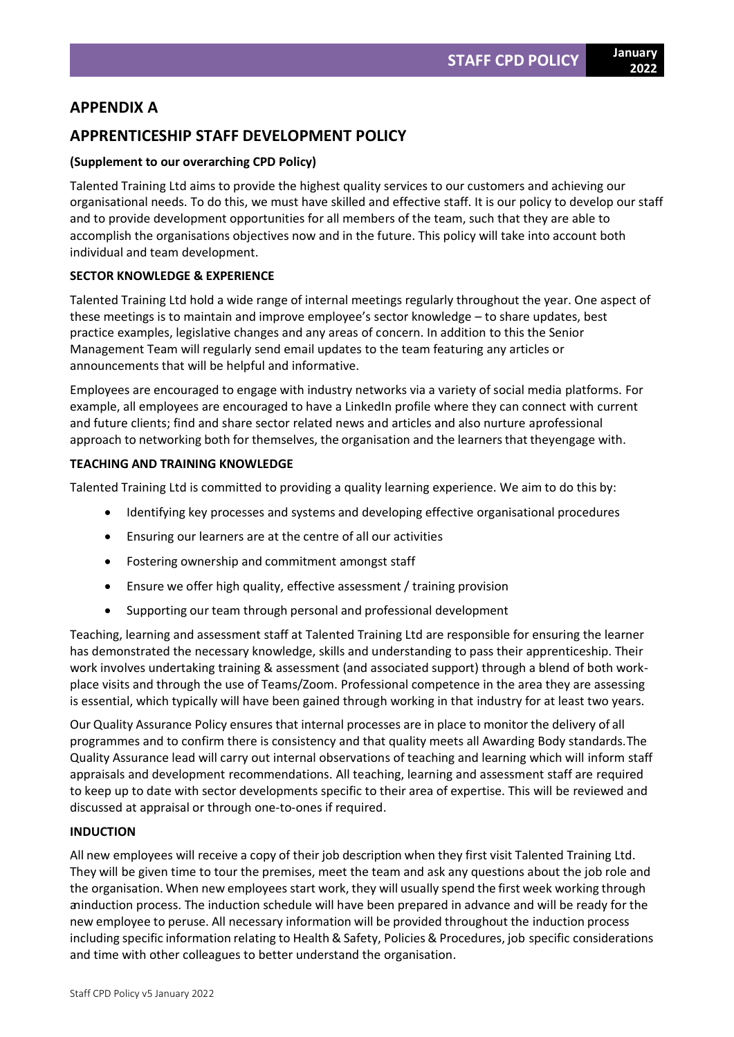# **APPENDIX A**

# **APPRENTICESHIP STAFF DEVELOPMENT POLICY**

# **(Supplement to our overarching CPD Policy)**

Talented Training Ltd aims to provide the highest quality services to our customers and achieving our organisational needs. To do this, we must have skilled and effective staff. It is our policy to develop our staff and to provide development opportunities for all members of the team, such that they are able to accomplish the organisations objectives now and in the future. This policy will take into account both individual and team development.

# **SECTOR KNOWLEDGE & EXPERIENCE**

Talented Training Ltd hold a wide range of internal meetings regularly throughout the year. One aspect of these meetings is to maintain and improve employee's sector knowledge – to share updates, best practice examples, legislative changes and any areas of concern. In addition to this the Senior Management Team will regularly send email updates to the team featuring any articles or announcements that will be helpful and informative.

Employees are encouraged to engage with industry networks via a variety of social media platforms. For example, all employees are encouraged to have a LinkedIn profile where they can connect with current and future clients; find and share sector related news and articles and also nurture aprofessional approach to networking both for themselves, the organisation and the learners that theyengage with.

### **TEACHING AND TRAINING KNOWLEDGE**

Talented Training Ltd is committed to providing a quality learning experience. We aim to do this by:

- Identifying key processes and systems and developing effective organisational procedures
- Ensuring our learners are at the centre of all our activities
- Fostering ownership and commitment amongst staff
- Ensure we offer high quality, effective assessment / training provision
- Supporting our team through personal and professional development

Teaching, learning and assessment staff at Talented Training Ltd are responsible for ensuring the learner has demonstrated the necessary knowledge, skills and understanding to pass their apprenticeship. Their work involves undertaking training & assessment (and associated support) through a blend of both workplace visits and through the use of Teams/Zoom. Professional competence in the area they are assessing is essential, which typically will have been gained through working in that industry for at least two years.

Our Quality Assurance Policy ensures that internal processes are in place to monitor the delivery of all programmes and to confirm there is consistency and that quality meets all Awarding Body standards.The Quality Assurance lead will carry out internal observations of teaching and learning which will inform staff appraisals and development recommendations. All teaching, learning and assessment staff are required to keep up to date with sector developments specific to their area of expertise. This will be reviewed and discussed at appraisal or through one-to-ones if required.

# **INDUCTION**

All new employees will receive a copy of their job description when they first visit Talented Training Ltd. They will be given time to tour the premises, meet the team and ask any questions about the job role and the organisation. When new employees start work, they will usually spend the first week working through aninduction process. The induction schedule will have been prepared in advance and will be ready for the new employee to peruse. All necessary information will be provided throughout the induction process including specific information relating to Health & Safety, Policies & Procedures, job specific considerations and time with other colleagues to better understand the organisation.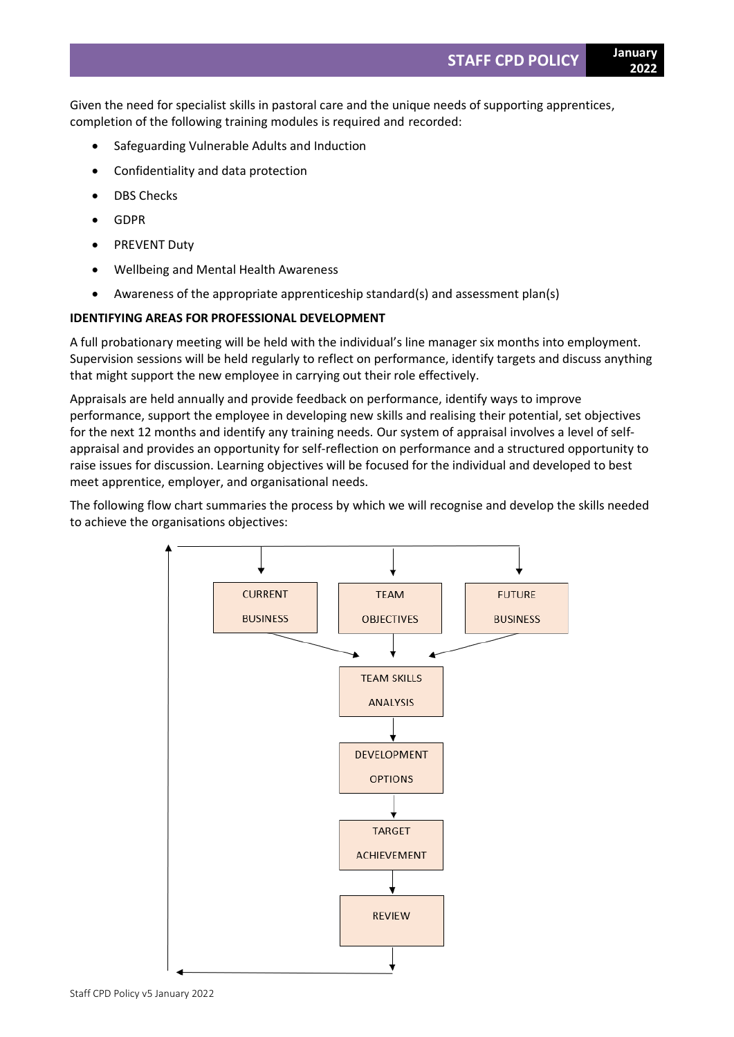Given the need for specialist skills in pastoral care and the unique needs of supporting apprentices, completion of the following training modules is required and recorded:

- Safeguarding Vulnerable Adults and Induction
- Confidentiality and data protection
- DBS Checks
- GDPR
- PREVENT Duty
- Wellbeing and Mental Health Awareness
- Awareness of the appropriate apprenticeship standard(s) and assessment plan(s)

# **IDENTIFYING AREAS FOR PROFESSIONAL DEVELOPMENT**

A full probationary meeting will be held with the individual's line manager six months into employment. Supervision sessions will be held regularly to reflect on performance, identify targets and discuss anything that might support the new employee in carrying out their role effectively.

Appraisals are held annually and provide feedback on performance, identify ways to improve performance, support the employee in developing new skills and realising their potential, set objectives for the next 12 months and identify any training needs. Our system of appraisal involves a level of selfappraisal and provides an opportunity for self-reflection on performance and a structured opportunity to raise issues for discussion. Learning objectives will be focused for the individual and developed to best meet apprentice, employer, and organisational needs.

The following flow chart summaries the process by which we will recognise and develop the skills needed to achieve the organisations objectives: